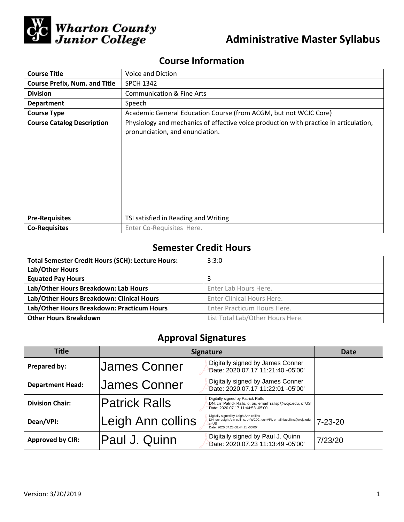

# **Administrative Master Syllabus**

## **Course Information**

| <b>Course Title</b>                  | Voice and Diction                                                                                                        |  |  |
|--------------------------------------|--------------------------------------------------------------------------------------------------------------------------|--|--|
| <b>Course Prefix, Num. and Title</b> | <b>SPCH 1342</b>                                                                                                         |  |  |
| <b>Division</b>                      | <b>Communication &amp; Fine Arts</b>                                                                                     |  |  |
| <b>Department</b>                    | Speech                                                                                                                   |  |  |
| <b>Course Type</b>                   | Academic General Education Course (from ACGM, but not WCJC Core)                                                         |  |  |
| <b>Course Catalog Description</b>    | Physiology and mechanics of effective voice production with practice in articulation,<br>pronunciation, and enunciation. |  |  |
| <b>Pre-Requisites</b>                | TSI satisfied in Reading and Writing                                                                                     |  |  |
| <b>Co-Requisites</b>                 | Enter Co-Requisites Here.                                                                                                |  |  |

## **Semester Credit Hours**

| <b>Total Semester Credit Hours (SCH): Lecture Hours:</b> | 3:3:0                            |
|----------------------------------------------------------|----------------------------------|
| Lab/Other Hours                                          |                                  |
| <b>Equated Pay Hours</b>                                 | 3                                |
| Lab/Other Hours Breakdown: Lab Hours                     | Enter Lab Hours Here.            |
| Lab/Other Hours Breakdown: Clinical Hours                | Enter Clinical Hours Here.       |
| Lab/Other Hours Breakdown: Practicum Hours               | Enter Practicum Hours Here.      |
| <b>Other Hours Breakdown</b>                             | List Total Lab/Other Hours Here. |

## **Approval Signatures**

| Title                   | <b>Signature</b>     |                                                                                                                                                               | Date          |
|-------------------------|----------------------|---------------------------------------------------------------------------------------------------------------------------------------------------------------|---------------|
| Prepared by:            | James Conner         | Digitally signed by James Conner<br>Date: 2020.07.17 11:21:40 -05'00'                                                                                         |               |
| <b>Department Head:</b> | James Conner         | Digitally signed by James Conner<br>Date: 2020.07.17 11:22:01 -05'00'                                                                                         |               |
| <b>Division Chair:</b>  | <b>Patrick Ralls</b> | Digitally signed by Patrick Ralls<br>DN: cn=Patrick Ralls, o, ou, email=rallsp@wcjc.edu, c=US<br>Date: 2020.07.17 11:44:53 -05'00'                            |               |
| Dean/VPI:               | Leigh Ann collins    | Digitally signed by Leigh Ann collins<br>DN: cn=Leigh Ann collins, o=WCJC, ou=VPI, email=lacollins@wcjc.edu,<br>$c = US$<br>Date: 2020.07.23 08:44:11 -05'00' | $7 - 23 - 20$ |
| <b>Approved by CIR:</b> | Paul J. Quinn        | Digitally signed by Paul J. Quinn<br>Date: 2020.07.23 11:13:49 -05'00'                                                                                        | 7/23/20       |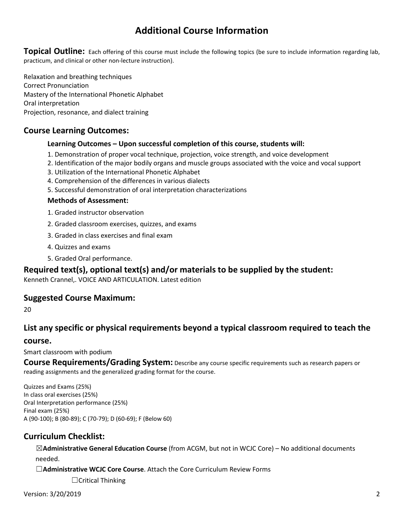## **Additional Course Information**

**Topical Outline:** Each offering of this course must include the following topics (be sure to include information regarding lab, practicum, and clinical or other non-lecture instruction).

Relaxation and breathing techniques Correct Pronunciation Mastery of the International Phonetic Alphabet Oral interpretation Projection, resonance, and dialect training

### **Course Learning Outcomes:**

#### **Learning Outcomes – Upon successful completion of this course, students will:**

- 1. Demonstration of proper vocal technique, projection, voice strength, and voice development
- 2. Identification of the major bodily organs and muscle groups associated with the voice and vocal support
- 3. Utilization of the International Phonetic Alphabet
- 4. Comprehension of the differences in various dialects
- 5. Successful demonstration of oral interpretation characterizations

#### **Methods of Assessment:**

- 1. Graded instructor observation
- 2. Graded classroom exercises, quizzes, and exams
- 3. Graded in class exercises and final exam
- 4. Quizzes and exams
- 5. Graded Oral performance.

### **Required text(s), optional text(s) and/or materials to be supplied by the student:**

Kenneth Crannel,. VOICE AND ARTICULATION. Latest edition

### **Suggested Course Maximum:**

20

## **List any specific or physical requirements beyond a typical classroom required to teach the**

#### **course.**

Smart classroom with podium

**Course Requirements/Grading System:** Describe any course specific requirements such as research papers or reading assignments and the generalized grading format for the course.

Quizzes and Exams (25%) In class oral exercises (25%) Oral Interpretation performance (25%) Final exam (25%) A (90-100); B (80-89); C (70-79); D (60-69); F (Below 60)

### **Curriculum Checklist:**

☒**Administrative General Education Course** (from ACGM, but not in WCJC Core) – No additional documents needed.

☐**Administrative WCJC Core Course**. Attach the Core Curriculum Review Forms

☐Critical Thinking